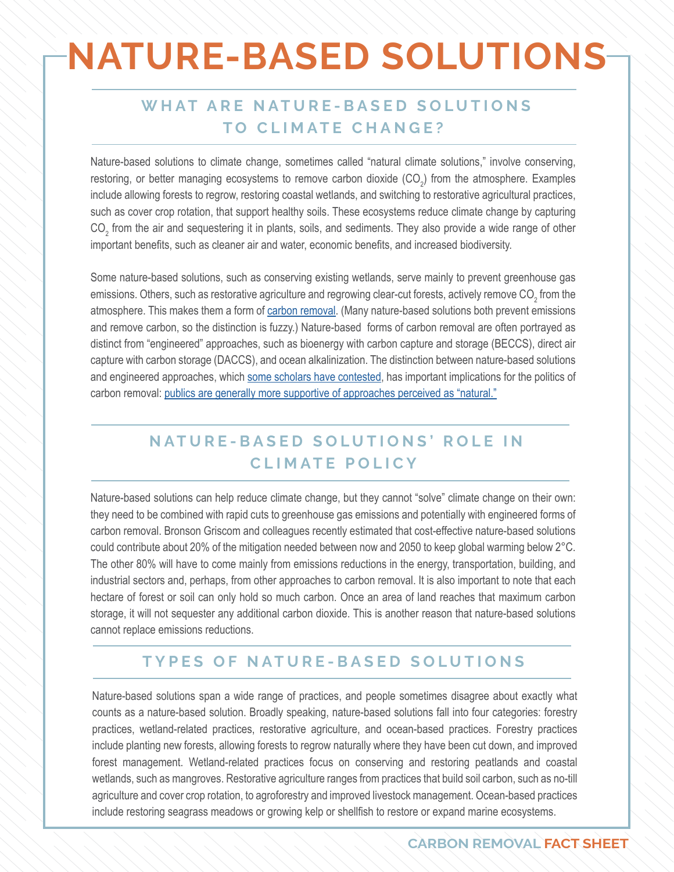## **NATURE-BASED SOLUTIONS**

### WHAT ARE NATURE-BASED SOLUTIONS **TO CLIMATE CHANGE?**

Nature-based solutions to climate change, sometimes called "natural climate solutions," involve conserving, restoring, or better managing ecosystems to remove carbon dioxide (CO<sub>2</sub>) from the atmosphere. Examples include allowing forests to regrow, restoring coastal wetlands, and switching to restorative agricultural practices, such as cover crop rotation, that support healthy soils. These ecosystems reduce climate change by capturing  $CO_2$  from the air and sequestering it in plants, soils, and sediments. They also provide a wide range of other important benefits, such as cleaner air and water, economic benefits, and increased biodiversity.

Some nature-based solutions, such as conserving existing wetlands, serve mainly to prevent greenhouse gas emissions. Others, such as restorative agriculture and regrowing clear-cut forests, actively remove CO $_2^{}$  from the atmosphere. This makes them a form of [carbon removal.](https://www.american.edu/sis/centers/carbon-removal/?link=factsheet%2Fcarbon-removal) (Many nature-based solutions both prevent emissions and remove carbon, so the distinction is fuzzy.) Nature-based forms of carbon removal are often portrayed as distinct from "engineered" approaches, such as bioenergy with carbon capture and storage (BECCS), direct air capture with carbon storage (DACCS), and ocean alkalinization. The distinction between nature-based solutions and engineered approaches, [which some scholars have contested](https://www.politics-prose.com/book/9780064409391), has important implications for the politics of carbon removal: [publics are generally more supportive of approaches perceived as "natural."](https://www.politics-prose.com/book/9780064409391)

## **NATURE-BASED SOLUTIONS' ROLE IN CLIMATE POLICY**

Nature-based solutions can help reduce climate change, but they cannot "solve" climate change on their own: they need to be combined with rapid cuts to greenhouse gas emissions and potentially with engineered forms of carbon removal. Bronson Griscom and colleagues recently estimated that cost-effective nature-based solutions could contribute about 20% of the mitigation needed between now and 2050 to keep global warming below 2°C. The other 80% will have to come mainly from emissions reductions in the energy, transportation, building, and industrial sectors and, perhaps, from other approaches to carbon removal. It is also important to note that each hectare of forest or soil can only hold so much carbon. Once an area of land reaches that maximum carbon storage, it will not sequester any additional carbon dioxide. This is another reason that nature-based solutions cannot replace emissions reductions.

#### **TYPES OF NATURE-BASED SOLUTIONS**

Nature-based solutions span a wide range of practices, and people sometimes disagree about exactly what counts as a nature-based solution. Broadly speaking, nature-based solutions fall into four categories: forestry practices, wetland-related practices, restorative agriculture, and ocean-based practices. Forestry practices include planting new forests, allowing forests to regrow naturally where they have been cut down, and improved forest management. Wetland-related practices focus on conserving and restoring peatlands and coastal wetlands, such as mangroves. Restorative agriculture ranges from practices that build soil carbon, such as no-till agriculture and cover crop rotation, to agroforestry and improved livestock management. Ocean-based practices include restoring seagrass meadows or growing kelp or shellfish to restore or expand marine ecosystems.